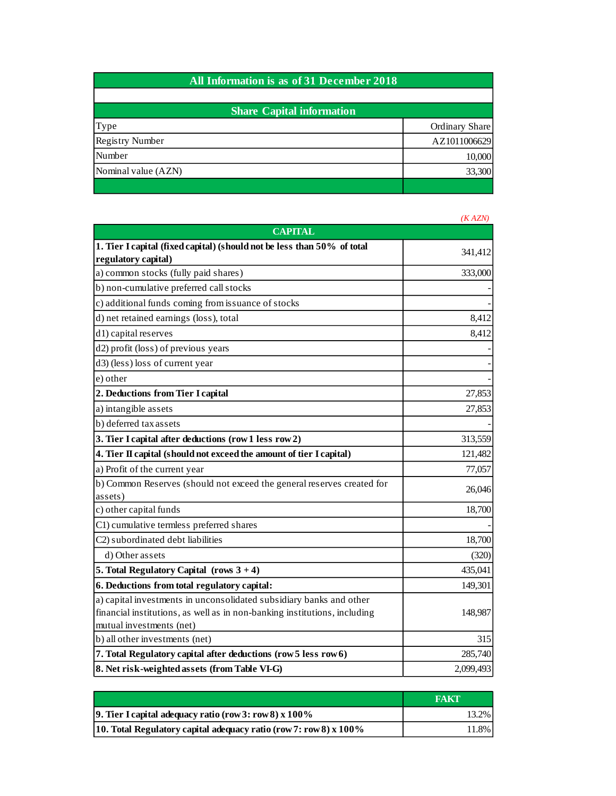| All Information is as of 31 December 2018 |                       |  |
|-------------------------------------------|-----------------------|--|
|                                           |                       |  |
| <b>Share Capital information</b>          |                       |  |
| <b>Type</b>                               | <b>Ordinary Share</b> |  |
| <b>Registry Number</b>                    | AZ1011006629          |  |
| Number                                    | 10,000                |  |
| Nominal value (AZN)                       | 33,300                |  |
|                                           |                       |  |

|                                                                           | (KAZN)    |
|---------------------------------------------------------------------------|-----------|
| <b>CAPITAL</b>                                                            |           |
| 1. Tier I capital (fixed capital) (should not be less than 50% of total   | 341,412   |
| regulatory capital)                                                       |           |
| a) common stocks (fully paid shares)                                      | 333,000   |
| b) non-cumulative preferred call stocks                                   |           |
| c) additional funds coming from issuance of stocks                        |           |
| d) net retained earnings (loss), total                                    | 8,412     |
| d1) capital reserves                                                      | 8,412     |
| d2) profit (loss) of previous years                                       |           |
| d3) (less) loss of current year                                           |           |
| e) other                                                                  |           |
| 2. Deductions from Tier I capital                                         | 27,853    |
| a) intangible assets                                                      | 27,853    |
| b) deferred tax assets                                                    |           |
| 3. Tier I capital after deductions (row 1 less row 2)                     | 313,559   |
| 4. Tier II capital (should not exceed the amount of tier I capital)       | 121,482   |
| a) Profit of the current year                                             | 77,057    |
| b) Common Reserves (should not exceed the general reserves created for    | 26,046    |
| assets)                                                                   |           |
| c) other capital funds                                                    | 18,700    |
| C1) cumulative termless preferred shares                                  |           |
| C2) subordinated debt liabilities                                         | 18,700    |
| d) Other assets                                                           | (320)     |
| 5. Total Regulatory Capital (rows $3 + 4$ )                               | 435,041   |
| 6. Deductions from total regulatory capital:                              | 149,301   |
| a) capital investments in unconsolidated subsidiary banks and other       |           |
| financial institutions, as well as in non-banking institutions, including | 148,987   |
| mutual investments (net)                                                  |           |
| b) all other investments (net)                                            | 315       |
| 7. Total Regulatory capital after deductions (row 5 less row 6)           | 285,740   |
| 8. Net risk-weighted assets (from Table VI-G)                             | 2,099,493 |

|                                                                     | <b>FAKT</b> |
|---------------------------------------------------------------------|-------------|
| 9. Tier I capital adequacy ratio (row 3: row 8) $x$ 100%            | 13.2%       |
| 10. Total Regulatory capital adequacy ratio (row 7: row 8) $x$ 100% | $11.8\%$    |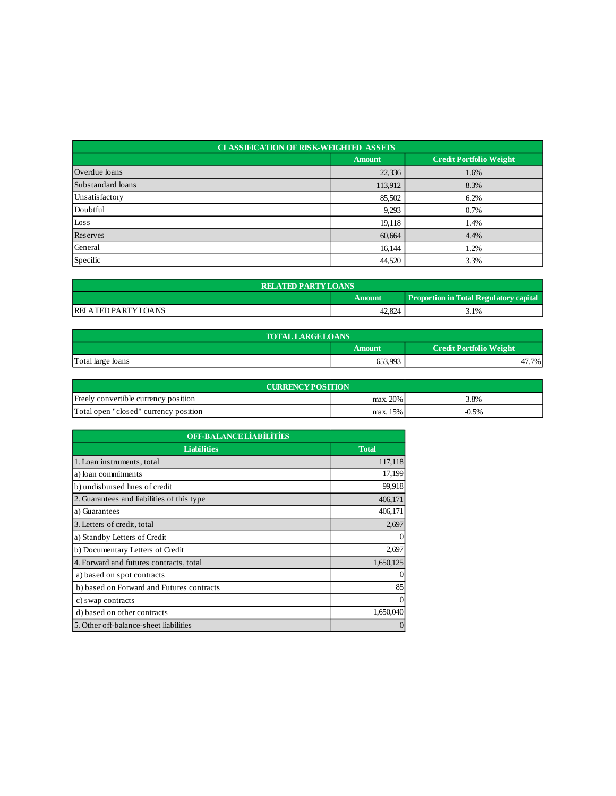| <b>CLASSIFICATION OF RISK-WEIGHTED ASSETS</b> |               |                                |  |
|-----------------------------------------------|---------------|--------------------------------|--|
|                                               | <b>Amount</b> | <b>Credit Portfolio Weight</b> |  |
| Overdue loans                                 | 22,336        | 1.6%                           |  |
| Substandard loans                             | 113,912       | 8.3%                           |  |
| Unsatisfactory                                | 85,502        | 6.2%                           |  |
| Doubtful                                      | 9,293         | 0.7%                           |  |
| Loss                                          | 19,118        | 1.4%                           |  |
| Reserves                                      | 60,664        | 4.4%                           |  |
| General                                       | 16,144        | 1.2%                           |  |
| Specific                                      | 44,520        | 3.3%                           |  |

| <b>RELATED PARTY LOANS</b>                              |        |      |  |  |  |
|---------------------------------------------------------|--------|------|--|--|--|
| <b>Proportion in Total Regulatory capital</b><br>Amount |        |      |  |  |  |
| <b>RELATED PARTY LOANS</b>                              | 42.824 | 3.1% |  |  |  |

| <b>TOTAL LARGE LOANS</b> |                                          |       |  |  |
|--------------------------|------------------------------------------|-------|--|--|
|                          | <b>Credit Portfolio Weight</b><br>Amount |       |  |  |
| Total large loans        | 653,993                                  | 47.7% |  |  |

| <b>CURRENCY POSITION</b>              |          |         |  |  |
|---------------------------------------|----------|---------|--|--|
| Freely convertible currency position  | max. 20% | 3.8%    |  |  |
| Total open "closed" currency position | max. 15% | $-0.5%$ |  |  |

| <b>OFF-BALANCE LIABILITIES</b>             |                |  |
|--------------------------------------------|----------------|--|
| <b>Liabilities</b>                         | <b>Total</b>   |  |
| 1. Loan instruments, total                 | 117,118        |  |
| a) loan commitments                        | 17,199         |  |
| b) undisbursed lines of credit             | 99,918         |  |
| 2. Guarantees and liabilities of this type | 406,171        |  |
| a) Guarantees                              | 406,171        |  |
| 3. Letters of credit, total                | 2,697          |  |
| a) Standby Letters of Credit               | $\Omega$       |  |
| b) Documentary Letters of Credit           | 2,697          |  |
| 4. Forward and futures contracts, total    | 1,650,125      |  |
| a) based on spot contracts                 | $\theta$       |  |
| b) based on Forward and Futures contracts  | 85             |  |
| c) swap contracts                          | $\Omega$       |  |
| d) based on other contracts                | 1,650,040      |  |
| 5. Other off-balance-sheet liabilities     | $\overline{0}$ |  |